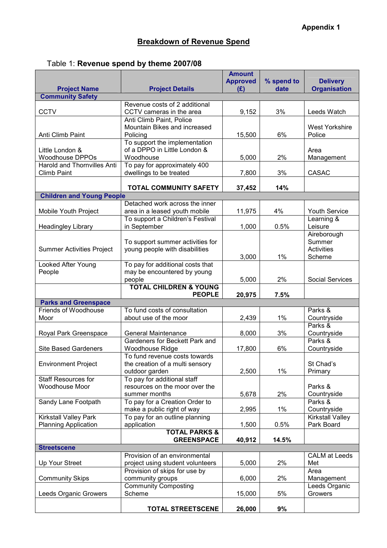## Table 1: Revenue spend by theme 2007/08

|                                                       |                                           | <b>Amount</b><br><b>Approved</b> | % spend to | <b>Delivery</b>         |
|-------------------------------------------------------|-------------------------------------------|----------------------------------|------------|-------------------------|
| <b>Project Name</b>                                   | <b>Project Details</b>                    | (E)                              | date       | <b>Organisation</b>     |
| <b>Community Safety</b>                               |                                           |                                  |            |                         |
|                                                       | Revenue costs of 2 additional             |                                  |            |                         |
| <b>CCTV</b>                                           | CCTV cameras in the area                  | 9,152                            | 3%         | Leeds Watch             |
|                                                       | Anti Climb Paint, Police                  |                                  |            |                         |
|                                                       | Mountain Bikes and increased              |                                  |            | <b>West Yorkshire</b>   |
| Anti Climb Paint                                      | Policing                                  | 15,500                           | 6%         | Police                  |
|                                                       | To support the implementation             |                                  |            |                         |
| Little London &                                       | of a DPPO in Little London &<br>Woodhouse |                                  | 2%         | Area                    |
| <b>Woodhouse DPPOs</b><br>Harold and Thornvilles Anti | To pay for approximately 400              | 5,000                            |            | Management              |
| <b>Climb Paint</b>                                    | dwellings to be treated                   | 7,800                            | 3%         | <b>CASAC</b>            |
|                                                       |                                           |                                  |            |                         |
|                                                       | <b>TOTAL COMMUNITY SAFETY</b>             | 37,452                           | 14%        |                         |
| <b>Children and Young People</b>                      |                                           |                                  |            |                         |
|                                                       | Detached work across the inner            |                                  |            |                         |
| Mobile Youth Project                                  | area in a leased youth mobile             | 11,975                           | 4%         | <b>Youth Service</b>    |
|                                                       | To support a Children's Festival          |                                  |            | Learning &              |
| <b>Headingley Library</b>                             | in September                              | 1,000                            | 0.5%       | Leisure                 |
|                                                       |                                           |                                  |            | Aireborough             |
|                                                       | To support summer activities for          |                                  |            | Summer                  |
| <b>Summer Activities Project</b>                      | young people with disabilities            |                                  |            | <b>Activities</b>       |
|                                                       |                                           | 3,000                            | 1%         | Scheme                  |
| Looked After Young                                    | To pay for additional costs that          |                                  |            |                         |
| People                                                | may be encountered by young               |                                  |            |                         |
|                                                       | people                                    | 5,000                            | 2%         | <b>Social Services</b>  |
|                                                       | <b>TOTAL CHILDREN &amp; YOUNG</b>         |                                  |            |                         |
|                                                       | <b>PEOPLE</b>                             | 20,975                           | 7.5%       |                         |
| <b>Parks and Greenspace</b>                           |                                           |                                  |            |                         |
| <b>Friends of Woodhouse</b>                           | To fund costs of consultation             |                                  |            | Parks &                 |
| Moor                                                  | about use of the moor                     | 2,439                            | 1%         | Countryside             |
|                                                       | <b>General Maintenance</b>                |                                  |            | Parks &                 |
| Royal Park Greenspace                                 | Gardeners for Beckett Park and            | 8,000                            | 3%         | Countryside<br>Parks &  |
| <b>Site Based Gardeners</b>                           | Woodhouse Ridge                           | 17,800                           | 6%         | Countryside             |
|                                                       | To fund revenue costs towards             |                                  |            |                         |
| <b>Environment Project</b>                            | the creation of a multi sensory           |                                  |            | St Chad's               |
|                                                       | outdoor garden                            | 2,500                            | $1\%$      | Primary                 |
| <b>Staff Resources for</b>                            | To pay for additional staff               |                                  |            |                         |
| <b>Woodhouse Moor</b>                                 | resources on the moor over the            |                                  |            | Parks &                 |
|                                                       | summer months                             | 5,678                            | 2%         | Countryside             |
| Sandy Lane Footpath                                   | To pay for a Creation Order to            |                                  |            | Parks &                 |
|                                                       | make a public right of way                | 2,995                            | $1\%$      | Countryside             |
| Kirkstall Valley Park                                 | To pay for an outline planning            |                                  |            | <b>Kirkstall Valley</b> |
| <b>Planning Application</b>                           | application                               | 1,500                            | 0.5%       | Park Board              |
|                                                       | <b>TOTAL PARKS &amp;</b>                  |                                  |            |                         |
|                                                       | <b>GREENSPACE</b>                         | 40,912                           | 14.5%      |                         |
| <b>Streetscene</b>                                    |                                           |                                  |            |                         |
|                                                       | Provision of an environmental             |                                  |            | <b>CALM</b> at Leeds    |
| Up Your Street                                        | project using student volunteers          | 5,000                            | 2%         | Met                     |
|                                                       | Provision of skips for use by             |                                  |            | Area                    |
| <b>Community Skips</b>                                | community groups                          | 6,000                            | 2%         | Management              |
|                                                       | <b>Community Composting</b>               |                                  |            | Leeds Organic           |
| Leeds Organic Growers                                 | Scheme                                    | 15,000                           | 5%         | Growers                 |
|                                                       | <b>TOTAL STREETSCENE</b>                  | 26,000                           | 9%         |                         |